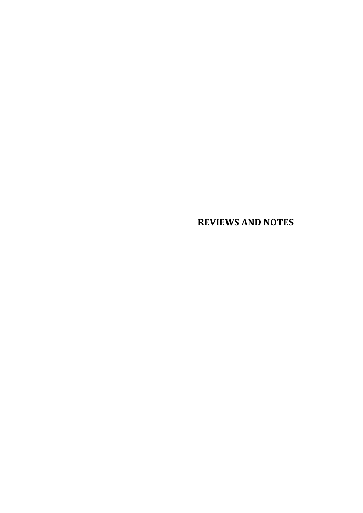## **REVIEWS AND NOTES**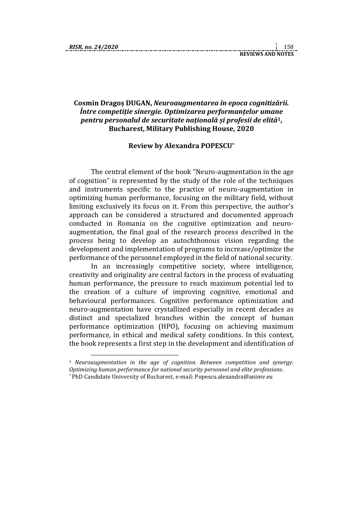1

## **Cosmin Dragoș DUGAN,** *Neuroaugmentarea în epoca cognitizării. Între competiție sinergie. Optimizarea performanțelor umane pentru personalul de securitate națională și profesii de elită***1, Bucharest, Military Publishing House, 2020**

## **Review by Alexandra POPESCU\***

The central element of the book "Neuro-augmentation in the age of cognition" is represented by the study of the role of the techniques and instruments specific to the practice of neuro-augmentation in optimizing human performance, focusing on the military field, without limiting exclusively its focus on it. From this perspective, the author's approach can be considered a structured and documented approach conducted in Romania on the cognitive optimization and neuroaugmentation, the final goal of the research process described in the process being to develop an autochthonous vision regarding the development and implementation of programs to increase/optimize the performance of the personnel employed in the field of national security.

In an increasingly competitive society, where intelligence, creativity and originality are central factors in the process of evaluating human performance, the pressure to reach maximum potential led to the creation of a culture of improving cognitive, emotional and behavioural performances. Cognitive performance optimization and neuro-augmentation have crystallized especially in recent decades as distinct and specialized branches within the concept of human performance optimization (HPO), focusing on achieving maximum performance, in ethical and medical safety conditions. In this context, the book represents a first step in the development and identification of

<sup>1</sup> *Neuroaugmentation in the age of cognition. Between competition and synergy. Optimizing human performance for national security personnel and elite professions*.

<sup>\*</sup> PhD Candidate University of Bucharest, e-mail: Popescu.alexandra@animv.eu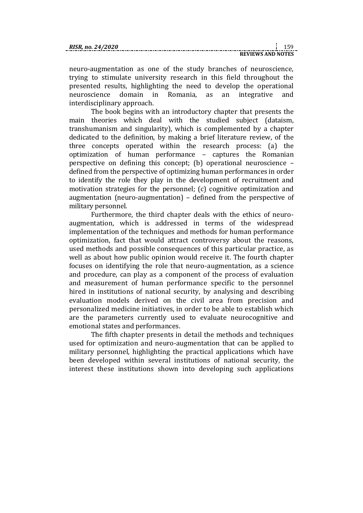neuro-augmentation as one of the study branches of neuroscience, trying to stimulate university research in this field throughout the presented results, highlighting the need to develop the operational neuroscience domain in Romania, as an integrative and interdisciplinary approach.

The book begins with an introductory chapter that presents the main theories which deal with the studied subject (dataism, transhumanism and singularity), which is complemented by a chapter dedicated to the definition, by making a brief literature review, of the three concepts operated within the research process: (a) the optimization of human performance – captures the Romanian perspective on defining this concept; (b) operational neuroscience – defined from the perspective of optimizing human performances in order to identify the role they play in the development of recruitment and motivation strategies for the personnel; (c) cognitive optimization and augmentation (neuro-augmentation) – defined from the perspective of military personnel.

Furthermore, the third chapter deals with the ethics of neuroaugmentation, which is addressed in terms of the widespread implementation of the techniques and methods for human performance optimization, fact that would attract controversy about the reasons, used methods and possible consequences of this particular practice, as well as about how public opinion would receive it. The fourth chapter focuses on identifying the role that neuro-augmentation, as a science and procedure, can play as a component of the process of evaluation and measurement of human performance specific to the personnel hired in institutions of national security, by analysing and describing evaluation models derived on the civil area from precision and personalized medicine initiatives, in order to be able to establish which are the parameters currently used to evaluate neurocognitive and emotional states and performances.

The fifth chapter presents in detail the methods and techniques used for optimization and neuro-augmentation that can be applied to military personnel, highlighting the practical applications which have been developed within several institutions of national security, the interest these institutions shown into developing such applications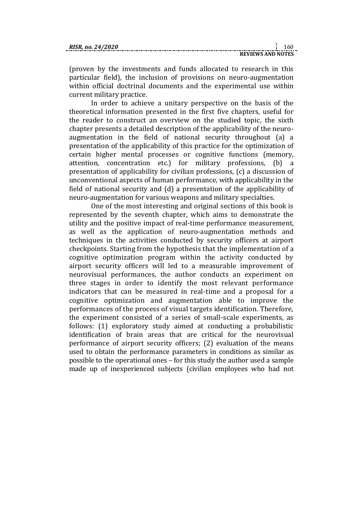(proven by the investments and funds allocated to research in this particular field), the inclusion of provisions on neuro-augmentation within official doctrinal documents and the experimental use within current military practice.

In order to achieve a unitary perspective on the basis of the theoretical information presented in the first five chapters, useful for the reader to construct an overview on the studied topic, the sixth chapter presents a detailed description of the applicability of the neuroaugmentation in the field of national security throughout (a) a presentation of the applicability of this practice for the optimization of certain higher mental processes or cognitive functions (memory, attention, concentration etc.) for military professions, (b) a presentation of applicability for civilian professions, (c) a discussion of unconventional aspects of human performance, with applicability in the field of national security and (d) a presentation of the applicability of neuro-augmentation for various weapons and military specialties.

One of the most interesting and original sections of this book is represented by the seventh chapter, which aims to demonstrate the utility and the positive impact of real-time performance measurement, as well as the application of neuro-augmentation methods and techniques in the activities conducted by security officers at airport checkpoints. Starting from the hypothesis that the implementation of a cognitive optimization program within the activity conducted by airport security officers will led to a measurable improvement of neurovisual performances, the author conducts an experiment on three stages in order to identify the most relevant performance indicators that can be measured in real-time and a proposal for a cognitive optimization and augmentation able to improve the performances of the process of visual targets identification. Therefore, the experiment consisted of a series of small-scale experiments, as follows: (1) exploratory study aimed at conducting a probabilistic identification of brain areas that are critical for the neurovisual performance of airport security officers; (2) evaluation of the means used to obtain the performance parameters in conditions as similar as possible to the operational ones – for this study the author used a sample made up of inexperienced subjects (civilian employees who had not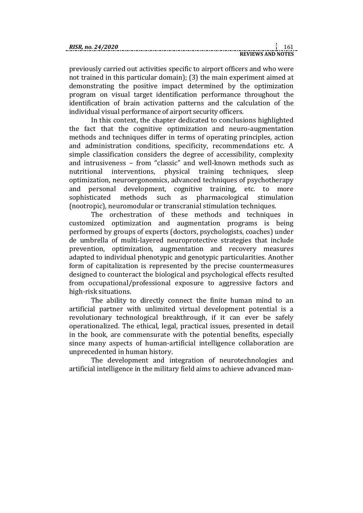| RISR. no. 24/2020 |  |
|-------------------|--|
|                   |  |

|  |  |                                 |  |  |  |  |  |  |  |  | $\cdots$ |  |
|--|--|---------------------------------|--|--|--|--|--|--|--|--|----------|--|
|  |  | ------------------------------- |  |  |  |  |  |  |  |  |          |  |
|  |  |                                 |  |  |  |  |  |  |  |  |          |  |
|  |  | <b>REVIEWS AND NOTES</b>        |  |  |  |  |  |  |  |  |          |  |
|  |  |                                 |  |  |  |  |  |  |  |  |          |  |

previously carried out activities specific to airport officers and who were not trained in this particular domain); (3) the main experiment aimed at demonstrating the positive impact determined by the optimization program on visual target identification performance throughout the identification of brain activation patterns and the calculation of the individual visual performance of airport security officers.

In this context, the chapter dedicated to conclusions highlighted the fact that the cognitive optimization and neuro-augmentation methods and techniques differ in terms of operating principles, action and administration conditions, specificity, recommendations etc. A simple classification considers the degree of accessibility, complexity and intrusiveness – from "classic" and well-known methods such as nutritional interventions, physical training techniques, sleep optimization, neuroergonomics, advanced techniques of psychotherapy and personal development, cognitive training, etc. to more sophisticated methods such as pharmacological stimulation (nootropic), neuromodular or transcranial stimulation techniques.

The orchestration of these methods and techniques in customized optimization and augmentation programs is being performed by groups of experts (doctors, psychologists, coaches) under de umbrella of multi-layered neuroprotective strategies that include prevention, optimization, augmentation and recovery measures adapted to individual phenotypic and genotypic particularities. Another form of capitalization is represented by the precise countermeasures designed to counteract the biological and psychological effects resulted from occupational/professional exposure to aggressive factors and high-risk situations.

The ability to directly connect the finite human mind to an artificial partner with unlimited virtual development potential is a revolutionary technological breakthrough, if it can ever be safely operationalized. The ethical, legal, practical issues, presented in detail in the book, are commensurate with the potential benefits, especially since many aspects of human-artificial intelligence collaboration are unprecedented in human history.

The development and integration of neurotechnologies and artificial intelligence in the military field aims to achieve advanced man-